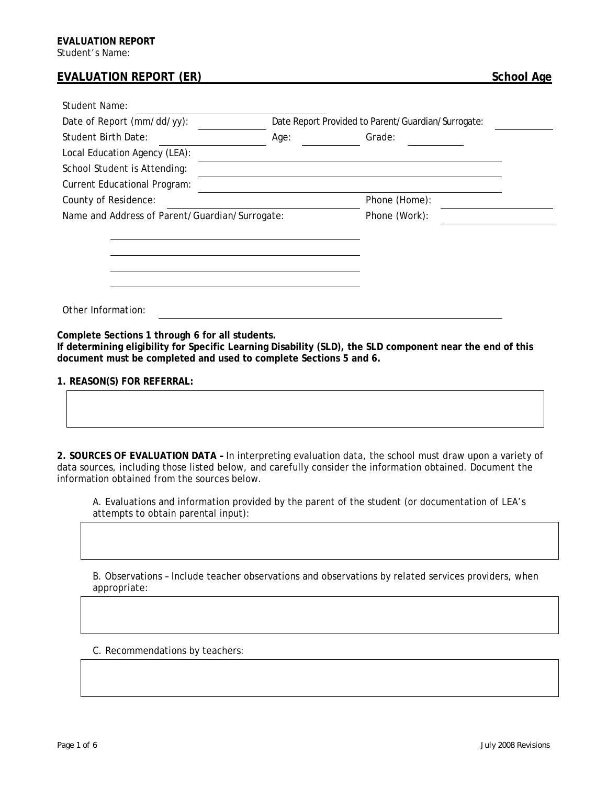## **EVALUATION REPORT (ER)** School Age

| Student Name:                                  |                                                    |               |  |
|------------------------------------------------|----------------------------------------------------|---------------|--|
| Date of Report (mm/dd/yy):                     | Date Report Provided to Parent/Guardian/Surrogate: |               |  |
| Student Birth Date:                            | Age:                                               | Grade:        |  |
| Local Education Agency (LEA):                  |                                                    |               |  |
| School Student is Attending:                   |                                                    |               |  |
| <b>Current Educational Program:</b>            |                                                    |               |  |
| County of Residence:                           |                                                    | Phone (Home): |  |
| Name and Address of Parent/Guardian/Surrogate: |                                                    | Phone (Work): |  |
|                                                |                                                    |               |  |
|                                                |                                                    |               |  |
|                                                |                                                    |               |  |
|                                                |                                                    |               |  |
|                                                |                                                    |               |  |
| Other Information:                             |                                                    |               |  |

**Complete Sections 1 through 6 for all students.** 

**If determining eligibility for Specific Learning Disability (SLD), the SLD component near the end of this document must be completed and used to complete Sections 5 and 6.** 

**1. REASON(S) FOR REFERRAL:** 

**2. SOURCES OF EVALUATION DATA –** In interpreting evaluation data, the school must draw upon a variety of data sources, including those listed below, and carefully consider the information obtained. Document the information obtained from the sources below.

A. Evaluations and information provided by the parent of the student (or documentation of LEA's attempts to obtain parental input):

B. Observations – Include teacher observations and observations by related services providers, when appropriate:

C. Recommendations by teachers: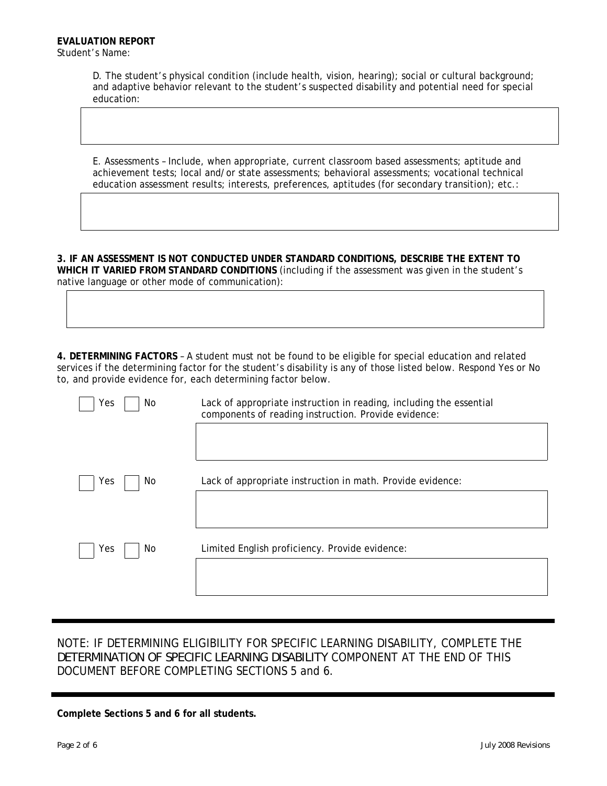D. The student's physical condition (include health, vision, hearing); social or cultural background; and adaptive behavior relevant to the student's suspected disability and potential need for special education:

E. Assessments – Include, when appropriate, current classroom based assessments; aptitude and achievement tests; local and/or state assessments; behavioral assessments; vocational technical education assessment results; interests, preferences, aptitudes (for secondary transition); etc.:

**3. IF AN ASSESSMENT IS NOT CONDUCTED UNDER STANDARD CONDITIONS, DESCRIBE THE EXTENT TO WHICH IT VARIED FROM STANDARD CONDITIONS** (including if the assessment was given in the student's native language or other mode of communication):

**4. DETERMINING FACTORS** – A student must not be found to be eligible for special education and related services if the determining factor for the student's disability is any of those listed below. Respond Yes or No to, and provide evidence for, each determining factor below.

| Yes<br>No. | Lack of appropriate instruction in reading, including the essential<br>components of reading instruction. Provide evidence: |  |  |
|------------|-----------------------------------------------------------------------------------------------------------------------------|--|--|
|            |                                                                                                                             |  |  |
| Yes<br>No. | Lack of appropriate instruction in math. Provide evidence:                                                                  |  |  |
|            |                                                                                                                             |  |  |
| Yes<br>No  | Limited English proficiency. Provide evidence:                                                                              |  |  |
|            |                                                                                                                             |  |  |

## NOTE: IF DETERMINING ELIGIBILITY FOR SPECIFIC LEARNING DISABILITY, COMPLETE THE *DETERMINATION OF SPECIFIC LEARNING DISABILITY* COMPONENT AT THE END OF THIS DOCUMENT BEFORE COMPLETING SECTIONS 5 and 6.

**Complete Sections 5 and 6 for all students.**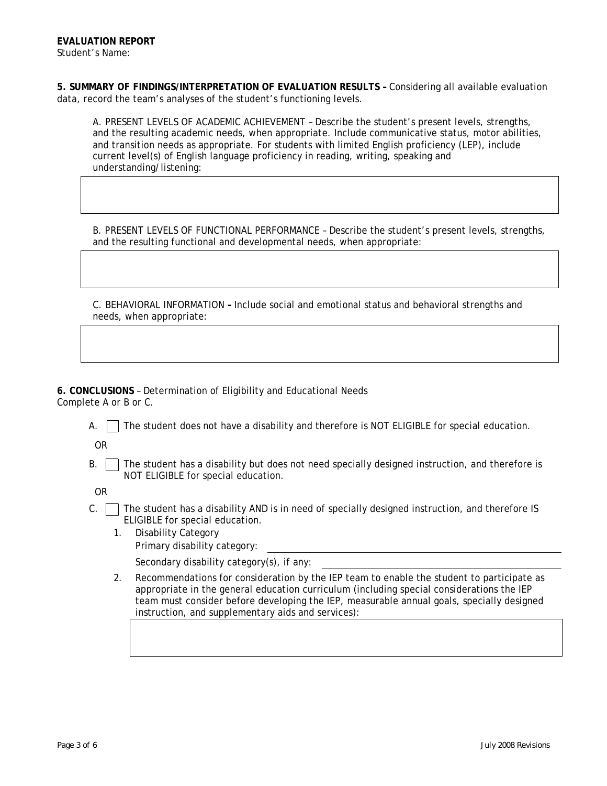**5. SUMMARY OF FINDINGS/INTERPRETATION OF EVALUATION RESULTS –** Considering all available evaluation data, record the team's analyses of the student's functioning levels.

A. PRESENT LEVELS OF ACADEMIC ACHIEVEMENT – Describe the student's present levels, strengths, and the resulting academic needs, when appropriate. Include communicative status, motor abilities, and transition needs as appropriate. For students with limited English proficiency (LEP), include current level(s) of English language proficiency in reading, writing, speaking and understanding/listening:

B. PRESENT LEVELS OF FUNCTIONAL PERFORMANCE – Describe the student's present levels, strengths, and the resulting functional and developmental needs, when appropriate:

C. BEHAVIORAL INFORMATION **–** Include social and emotional status and behavioral strengths and needs, when appropriate:

**6. CONCLUSIONS** – Determination of Eligibility and Educational Needs Complete A or B or C.

A.  $\Box$  The student does not have a disability and therefore is NOT ELIGIBLE for special education.

OR

 $B.$   $\Box$  The student has a disability but does not need specially designed instruction, and therefore is NOT ELIGIBLE for special education.

OR

- $C.$  The student has a disability AND is in need of specially designed instruction, and therefore IS ELIGIBLE for special education.
	- 1. Disability Category Primary disability category:
		- Secondary disability category(s), if any:
	- 2. Recommendations for consideration by the IEP team to enable the student to participate as appropriate in the general education curriculum (including special considerations the IEP team must consider before developing the IEP, measurable annual goals, specially designed instruction, and supplementary aids and services):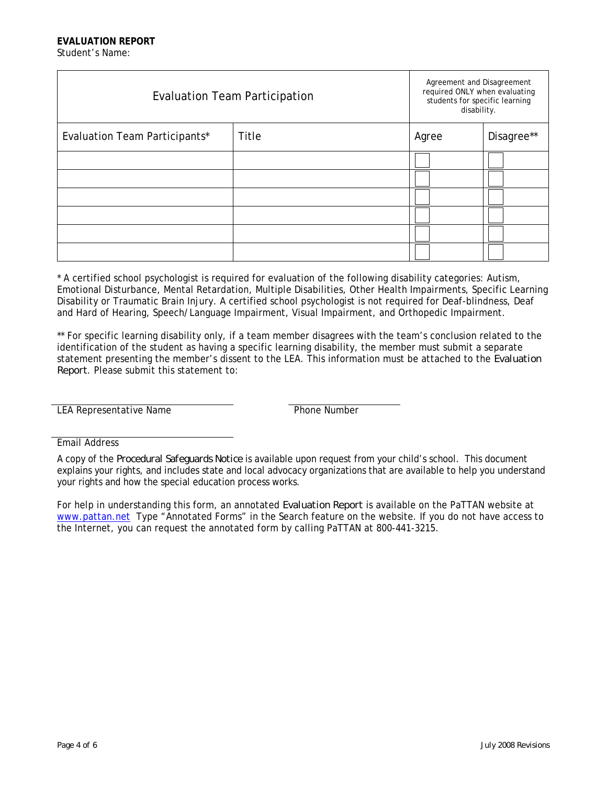| <b>Evaluation Team Participation</b> |       | Agreement and Disagreement<br>required ONLY when evaluating<br>students for specific learning<br>disability. |            |
|--------------------------------------|-------|--------------------------------------------------------------------------------------------------------------|------------|
| Evaluation Team Participants*        | Title | Agree                                                                                                        | Disagree** |
|                                      |       |                                                                                                              |            |
|                                      |       |                                                                                                              |            |
|                                      |       |                                                                                                              |            |
|                                      |       |                                                                                                              |            |
|                                      |       |                                                                                                              |            |
|                                      |       |                                                                                                              |            |

\* A certified school psychologist is required for evaluation of the following disability categories: Autism, Emotional Disturbance, Mental Retardation, Multiple Disabilities, Other Health Impairments, Specific Learning Disability or Traumatic Brain Injury. A certified school psychologist is not required for Deaf-blindness, Deaf and Hard of Hearing, Speech/Language Impairment, Visual Impairment, and Orthopedic Impairment.

\*\* For specific learning disability only, if a team member disagrees with the team's conclusion related to the identification of the student as having a specific learning disability, the member must submit a separate statement presenting the member's dissent to the LEA. This information must be attached to the *Evaluation Report*. Please submit this statement to:

LEA Representative Name

Email Address

For help in understanding this form, an annotated *Evaluation Report* is available on the PaTTAN website at [www.pattan.net](http://www.pattan.net/) Type "Annotated Forms" in the Search feature on the website. If you do not have access to the Internet, you can request the annotated form by calling PaTTAN at 800-441-3215.

A copy of the *Procedural Safeguards Notice* is available upon request from your child's school. This document explains your rights, and includes state and local advocacy organizations that are available to help you understand your rights and how the special education process works.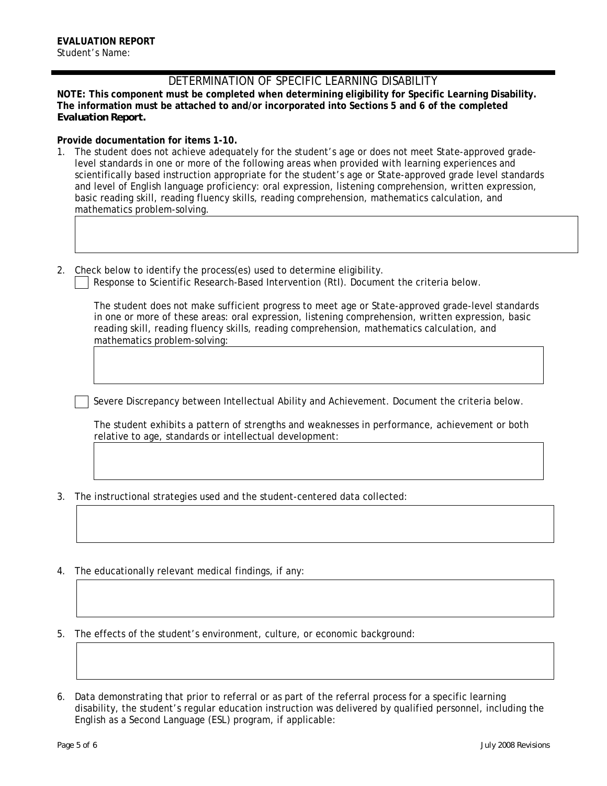## DETERMINATION OF SPECIFIC LEARNING DISABILITY

**NOTE: This component must be completed when determining eligibility for Specific Learning Disability. The information must be attached to and/or incorporated into Sections 5 and 6 of the completed**  *Evaluation Report.* 

## **Provide documentation for items 1-10.**

- 1. The student does not achieve adequately for the student's age or does not meet State-approved gradelevel standards in one or more of the following areas when provided with learning experiences and scientifically based instruction appropriate for the student's age or State-approved grade level standards and level of English language proficiency: oral expression, listening comprehension, written expression, basic reading skill, reading fluency skills, reading comprehension, mathematics calculation, and mathematics problem-solving.
- 2. Check below to identify the process(es) used to determine eligibility.
	- Response to Scientific Research-Based Intervention (RtI). Document the criteria below.

The student does not make sufficient progress to meet age or State-approved grade-level standards in one or more of these areas: oral expression, listening comprehension, written expression, basic reading skill, reading fluency skills, reading comprehension, mathematics calculation, and mathematics problem-solving:

Severe Discrepancy between Intellectual Ability and Achievement. Document the criteria below.

The student exhibits a pattern of strengths and weaknesses in performance, achievement or both relative to age, standards or intellectual development:

- 3. The instructional strategies used and the student-centered data collected:
- 4. The educationally relevant medical findings, if any:

5. The effects of the student's environment, culture, or economic background:

6. Data demonstrating that prior to referral or as part of the referral process for a specific learning disability, the student's regular education instruction was delivered by qualified personnel, including the English as a Second Language (ESL) program, if applicable: